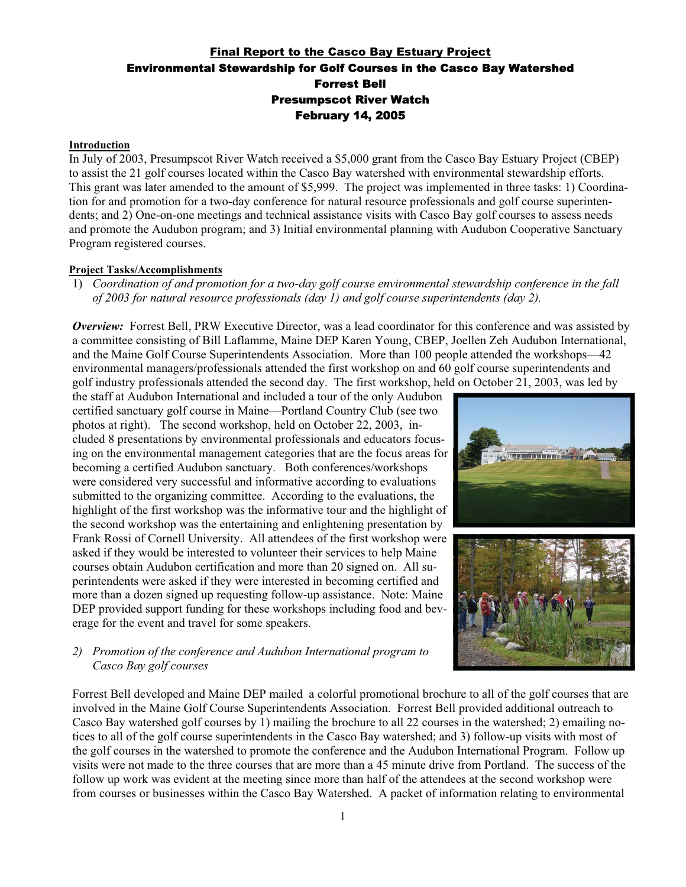# Final Report to the Casco Bay Estuary Project Environmental Stewardship for Golf Courses in the Casco Bay Watershed Forrest Bell Presumpscot River Watch February 14, 2005

#### **Introduction**

In July of 2003, Presumpscot River Watch received a \$5,000 grant from the Casco Bay Estuary Project (CBEP) to assist the 21 golf courses located within the Casco Bay watershed with environmental stewardship efforts. This grant was later amended to the amount of \$5,999. The project was implemented in three tasks: 1) Coordination for and promotion for a two-day conference for natural resource professionals and golf course superintendents; and 2) One-on-one meetings and technical assistance visits with Casco Bay golf courses to assess needs and promote the Audubon program; and 3) Initial environmental planning with Audubon Cooperative Sanctuary Program registered courses.

# **Project Tasks/Accomplishments**

1) *Coordination of and promotion for a two-day golf course environmental stewardship conference in the fall of 2003 for natural resource professionals (day 1) and golf course superintendents (day 2).*

*Overview:* Forrest Bell, PRW Executive Director, was a lead coordinator for this conference and was assisted by a committee consisting of Bill Laflamme, Maine DEP Karen Young, CBEP, Joellen Zeh Audubon International, and the Maine Golf Course Superintendents Association. More than 100 people attended the workshops—42 environmental managers/professionals attended the first workshop on and 60 golf course superintendents and golf industry professionals attended the second day. The first workshop, held on October 21, 2003, was led by

the staff at Audubon International and included a tour of the only Audubon certified sanctuary golf course in Maine—Portland Country Club (see two photos at right). The second workshop, held on October 22, 2003, included 8 presentations by environmental professionals and educators focusing on the environmental management categories that are the focus areas for becoming a certified Audubon sanctuary. Both conferences/workshops were considered very successful and informative according to evaluations submitted to the organizing committee. According to the evaluations, the highlight of the first workshop was the informative tour and the highlight of the second workshop was the entertaining and enlightening presentation by Frank Rossi of Cornell University. All attendees of the first workshop were asked if they would be interested to volunteer their services to help Maine courses obtain Audubon certification and more than 20 signed on. All superintendents were asked if they were interested in becoming certified and more than a dozen signed up requesting follow-up assistance. Note: Maine DEP provided support funding for these workshops including food and beverage for the event and travel for some speakers.



# *2) Promotion of the conference and Audubon International program to Casco Bay golf courses*

Forrest Bell developed and Maine DEP mailed a colorful promotional brochure to all of the golf courses that are involved in the Maine Golf Course Superintendents Association. Forrest Bell provided additional outreach to Casco Bay watershed golf courses by 1) mailing the brochure to all 22 courses in the watershed; 2) emailing notices to all of the golf course superintendents in the Casco Bay watershed; and 3) follow-up visits with most of the golf courses in the watershed to promote the conference and the Audubon International Program. Follow up visits were not made to the three courses that are more than a 45 minute drive from Portland. The success of the follow up work was evident at the meeting since more than half of the attendees at the second workshop were from courses or businesses within the Casco Bay Watershed. A packet of information relating to environmental